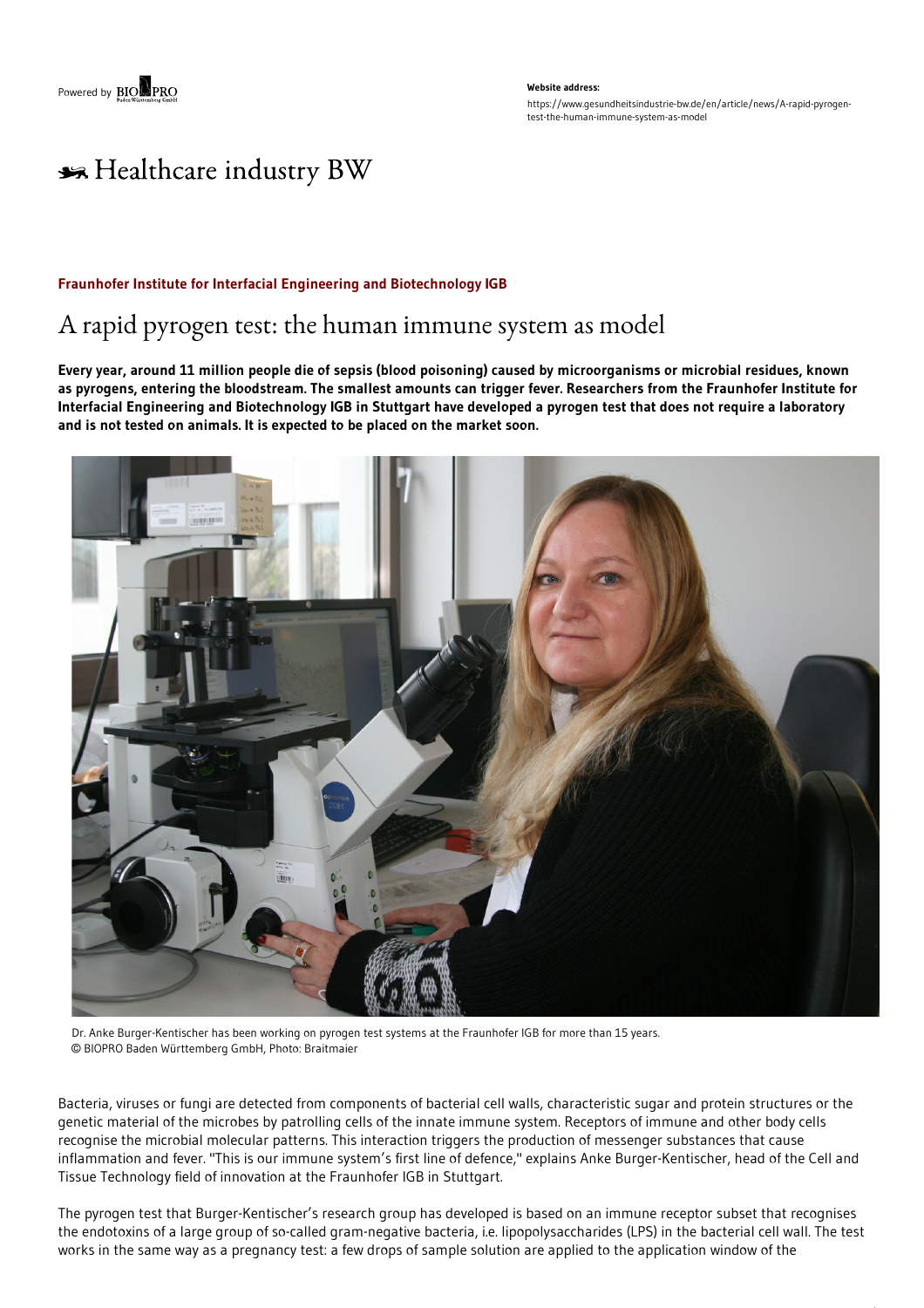**Website address:** https://www.gesundheitsindustrie-bw.de/en/article/news/A-rapid-pyrogentest-the-human-immune-system-as-model

# \*\* Healthcare industry BW

### **Fraunhofer Institute for Interfacial Engineering and Biotechnology IGB**

## A rapid pyrogen test: the human immune system as model

Every year, around 11 million people die of sepsis (blood poisoning) caused by microorganisms or microbial residues, known as pyrogens, entering the bloodstream. The smallest amounts can trigger fever. Researchers from the Fraunhofer Institute for Interfacial Engineering and Biotechnology IGB in Stuttgart have developed a pyrogen test that does not require a laboratory **and is not tested on animals. It is expected to be placed on the market soon.**



Dr. Anke Burger-Kentischer has been working on pyrogen test systems at the Fraunhofer IGB for more than 15 years. © BIOPRO Baden Württemberg GmbH, Photo: Braitmaier

Bacteria, viruses or fungi are detected from components of bacterial cell walls, characteristic sugar and protein structures or the genetic material of the microbes by patrolling cells of the innate immune system. Receptors of immune and other body cells recognise the microbial molecular patterns. This interaction triggers the production of messenger substances that cause inflammation and fever. "This is our immune system's first line of defence," explains Anke Burger-Kentischer, head of the Cell and Tissue Technology field of innovation at the Fraunhofer IGB in Stuttgart.

The pyrogen test that Burger-Kentischer's research group has developed is based on an immune receptor subset that recognises the endotoxins of a large group of so-called gram-negative bacteria, i.e. lipopolysaccharides (LPS) in the bacterial cell wall. The test works in the same way as a pregnancy test: a few drops of sample solution are applied to the application window of the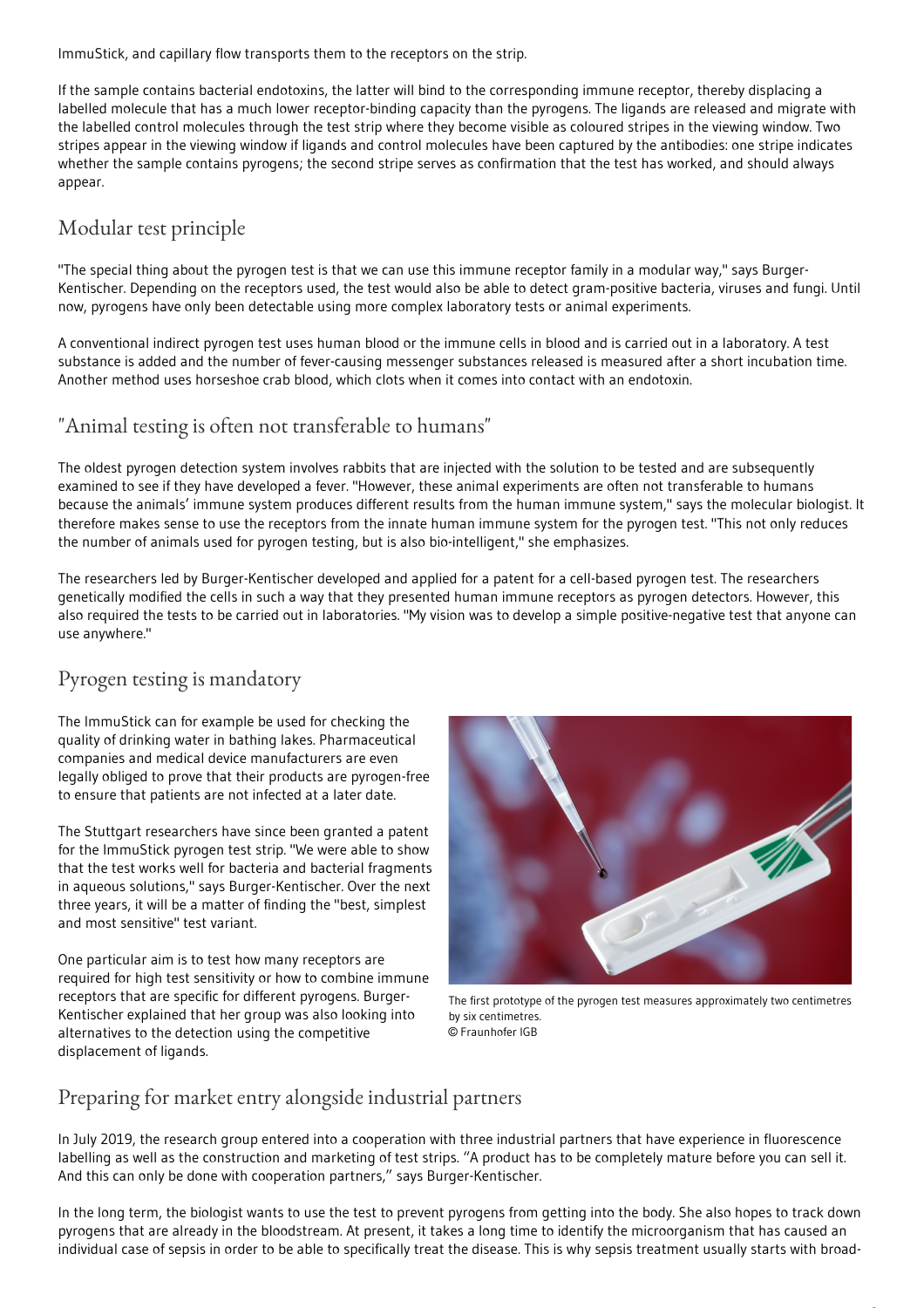ImmuStick, and capillary flow transports them to the receptors on the strip.

If the sample contains bacterial endotoxins, the latter will bind to the corresponding immune receptor, thereby displacing a labelled molecule that has a much lower receptor-binding capacity than the pyrogens. The ligands are released and migrate with the labelled control molecules through the test strip where they become visible as coloured stripes in the viewing window. Two stripes appear in the viewing window if ligands and control molecules have been captured by the antibodies: one stripe indicates whether the sample contains pyrogens; the second stripe serves as confirmation that the test has worked, and should always appear.

### Modular test principle

"The special thing about the pyrogen test is that we can use this immune receptor family in a modular way," says Burger-Kentischer. Depending on the receptors used, the test would also be able to detect gram-positive bacteria, viruses and fungi. Until now, pyrogens have only been detectable using more complex laboratory tests or animal experiments.

A conventional indirect pyrogen test uses human blood or the immune cells in blood and is carried out in a laboratory. A test substance is added and the number of fever-causing messenger substances released is measured after a short incubation time. Another method uses horseshoe crab blood, which clots when it comes into contact with an endotoxin.

### "Animal testing is often not transferable to humans"

The oldest pyrogen detection system involves rabbits that are injected with the solution to be tested and are subsequently examined to see if they have developed a fever. "However, these animal experiments are often not transferable to humans because the animals' immune system produces different results from the human immune system," says the molecular biologist. It therefore makes sense to use the receptors from the innate human immune system for the pyrogen test. "This not only reduces the number of animals used for pyrogen testing, but is also bio-intelligent," she emphasizes.

The researchers led by Burger-Kentischer developed and applied for a patent for a cell-based pyrogen test. The researchers genetically modified the cells in such a way that they presented human immune receptors as pyrogen detectors. However, this also required the tests to be carried out in laboratories. "My vision was to develop a simple positive-negative test that anyone can use anywhere."

### Pyrogen testing is mandatory

The ImmuStick can for example be used for checking the quality of drinking water in bathing lakes. Pharmaceutical companies and medical device manufacturers are even legally obliged to prove that their products are pyrogen-free to ensure that patients are not infected at a later date.

The Stuttgart researchers have since been granted a patent for the ImmuStick pyrogen test strip. "We were able to show that the test works well for bacteria and bacterial fragments in aqueous solutions," says Burger-Kentischer. Over the next three years, it will be a matter of finding the "best, simplest and most sensitive" test variant.

One particular aim is to test how many receptors are required for high test sensitivity or how to combine immune receptors that are specific for different pyrogens. Burger-Kentischer explained that her group was also looking into alternatives to the detection using the competitive displacement of ligands.



The first prototype of the pyrogen test measures approximately two centimetres by six centimetres. © Fraunhofer IGB

### Preparing for market entry alongside industrial partners

In July 2019, the research group entered into a cooperation with three industrial partners that have experience in fluorescence labelling as well as the construction and marketing of test strips. "A product has to be completely mature before you can sell it. And this can only be done with cooperation partners," says Burger-Kentischer.

In the long term, the biologist wants to use the test to prevent pyrogens from getting into the body. She also hopes to track down pyrogens that are already in the bloodstream. At present, it takes a long time to identify the microorganism that has caused an individual case of sepsis in order to be able to specifically treat the disease. This is why sepsis treatment usually starts with broad